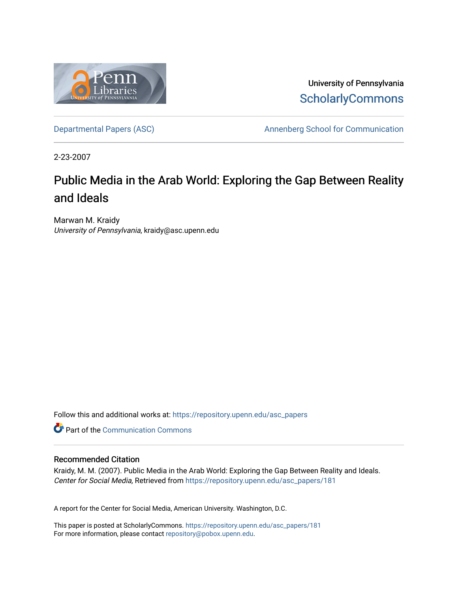

University of Pennsylvania **ScholarlyCommons** 

[Departmental Papers \(ASC\)](https://repository.upenn.edu/asc_papers) and a number of Annenberg School for Communication

2-23-2007

# Public Media in the Arab World: Exploring the Gap Between Reality and Ideals

Marwan M. Kraidy University of Pennsylvania, kraidy@asc.upenn.edu

Follow this and additional works at: [https://repository.upenn.edu/asc\\_papers](https://repository.upenn.edu/asc_papers?utm_source=repository.upenn.edu%2Fasc_papers%2F181&utm_medium=PDF&utm_campaign=PDFCoverPages)

**Part of the Communication Commons** 

#### Recommended Citation

Kraidy, M. M. (2007). Public Media in the Arab World: Exploring the Gap Between Reality and Ideals. Center for Social Media, Retrieved from [https://repository.upenn.edu/asc\\_papers/181](https://repository.upenn.edu/asc_papers/181?utm_source=repository.upenn.edu%2Fasc_papers%2F181&utm_medium=PDF&utm_campaign=PDFCoverPages) 

A report for the Center for Social Media, American University. Washington, D.C.

This paper is posted at ScholarlyCommons. [https://repository.upenn.edu/asc\\_papers/181](https://repository.upenn.edu/asc_papers/181)  For more information, please contact [repository@pobox.upenn.edu.](mailto:repository@pobox.upenn.edu)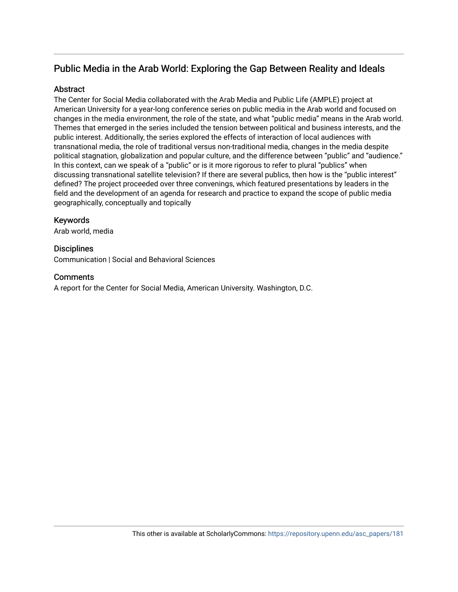# Public Media in the Arab World: Exploring the Gap Between Reality and Ideals

# **Abstract**

The Center for Social Media collaborated with the Arab Media and Public Life (AMPLE) project at American University for a year-long conference series on public media in the Arab world and focused on changes in the media environment, the role of the state, and what "public media" means in the Arab world. Themes that emerged in the series included the tension between political and business interests, and the public interest. Additionally, the series explored the effects of interaction of local audiences with transnational media, the role of traditional versus non-traditional media, changes in the media despite political stagnation, globalization and popular culture, and the difference between "public" and "audience." In this context, can we speak of a "public" or is it more rigorous to refer to plural "publics" when discussing transnational satellite television? If there are several publics, then how is the "public interest" defined? The project proceeded over three convenings, which featured presentations by leaders in the field and the development of an agenda for research and practice to expand the scope of public media geographically, conceptually and topically

# Keywords

Arab world, media

# **Disciplines**

Communication | Social and Behavioral Sciences

### **Comments**

A report for the Center for Social Media, American University. Washington, D.C.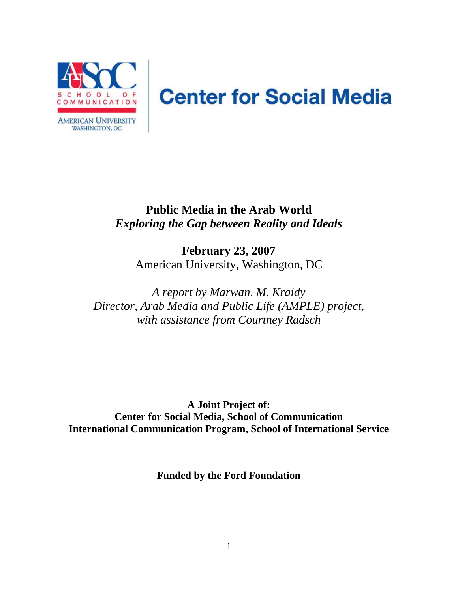

# **Center for Social Media**

# **Public Media in the Arab World**  *Exploring the Gap between Reality and Ideals*

**February 23, 2007**  American University, Washington, DC

*A report by Marwan. M. Kraidy Director, Arab Media and Public Life (AMPLE) project, with assistance from Courtney Radsch* 

**A Joint Project of: Center for Social Media, School of Communication International Communication Program, School of International Service** 

**Funded by the Ford Foundation**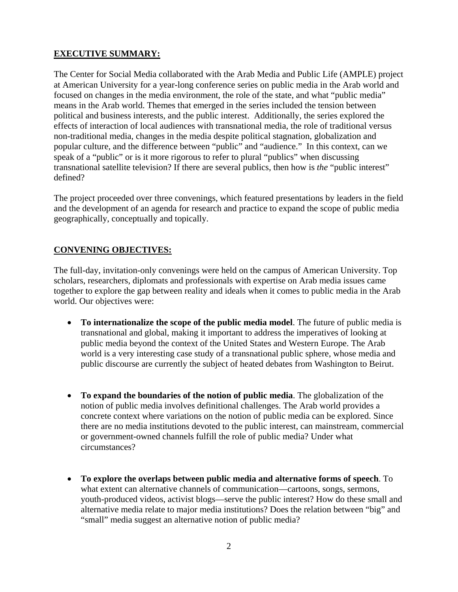# **EXECUTIVE SUMMARY:**

The Center for Social Media collaborated with the Arab Media and Public Life (AMPLE) project at American University for a year-long conference series on public media in the Arab world and focused on changes in the media environment, the role of the state, and what "public media" means in the Arab world. Themes that emerged in the series included the tension between political and business interests, and the public interest. Additionally, the series explored the effects of interaction of local audiences with transnational media, the role of traditional versus non-traditional media, changes in the media despite political stagnation, globalization and popular culture, and the difference between "public" and "audience." In this context, can we speak of a "public" or is it more rigorous to refer to plural "publics" when discussing transnational satellite television? If there are several publics, then how is *the* "public interest" defined?

The project proceeded over three convenings, which featured presentations by leaders in the field and the development of an agenda for research and practice to expand the scope of public media geographically, conceptually and topically.

# **CONVENING OBJECTIVES:**

The full-day, invitation-only convenings were held on the campus of American University. Top scholars, researchers, diplomats and professionals with expertise on Arab media issues came together to explore the gap between reality and ideals when it comes to public media in the Arab world. Our objectives were:

- **To internationalize the scope of the public media model**. The future of public media is transnational and global, making it important to address the imperatives of looking at public media beyond the context of the United States and Western Europe. The Arab world is a very interesting case study of a transnational public sphere, whose media and public discourse are currently the subject of heated debates from Washington to Beirut.
- **To expand the boundaries of the notion of public media**. The globalization of the notion of public media involves definitional challenges. The Arab world provides a concrete context where variations on the notion of public media can be explored. Since there are no media institutions devoted to the public interest, can mainstream, commercial or government-owned channels fulfill the role of public media? Under what circumstances?
- **To explore the overlaps between public media and alternative forms of speech**. To what extent can alternative channels of communication—cartoons, songs, sermons, youth-produced videos, activist blogs—serve the public interest? How do these small and alternative media relate to major media institutions? Does the relation between "big" and "small" media suggest an alternative notion of public media?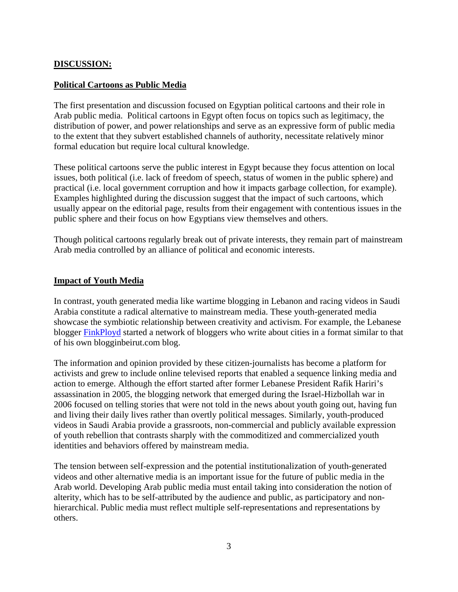# **DISCUSSION:**

# **Political Cartoons as Public Media**

The first presentation and discussion focused on Egyptian political cartoons and their role in Arab public media. Political cartoons in Egypt often focus on topics such as legitimacy, the distribution of power, and power relationships and serve as an expressive form of public media to the extent that they subvert established channels of authority, necessitate relatively minor formal education but require local cultural knowledge.

These political cartoons serve the public interest in Egypt because they focus attention on local issues, both political (i.e. lack of freedom of speech, status of women in the public sphere) and practical (i.e. local government corruption and how it impacts garbage collection, for example). Examples highlighted during the discussion suggest that the impact of such cartoons, which usually appear on the editorial page, results from their engagement with contentious issues in the public sphere and their focus on how Egyptians view themselves and others.

Though political cartoons regularly break out of private interests, they remain part of mainstream Arab media controlled by an alliance of political and economic interests.

#### **Impact of Youth Media**

In contrast, youth generated media like wartime blogging in Lebanon and racing videos in Saudi Arabia constitute a radical alternative to mainstream media. These youth-generated media showcase the symbiotic relationship between creativity and activism. For example, the Lebanese blogger FinkPloyd started a network of bloggers who write about cities in a format similar to that of his own blogginbeirut.com blog.

The information and opinion provided by these citizen-journalists has become a platform for activists and grew to include online televised reports that enabled a sequence linking media and action to emerge. Although the effort started after former Lebanese President Rafik Hariri's assassination in 2005, the blogging network that emerged during the Israel-Hizbollah war in 2006 focused on telling stories that were not told in the news about youth going out, having fun and living their daily lives rather than overtly political messages. Similarly, youth-produced videos in Saudi Arabia provide a grassroots, non-commercial and publicly available expression of youth rebellion that contrasts sharply with the commoditized and commercialized youth identities and behaviors offered by mainstream media.

The tension between self-expression and the potential institutionalization of youth-generated videos and other alternative media is an important issue for the future of public media in the Arab world. Developing Arab public media must entail taking into consideration the notion of alterity, which has to be self-attributed by the audience and public, as participatory and nonhierarchical. Public media must reflect multiple self-representations and representations by others.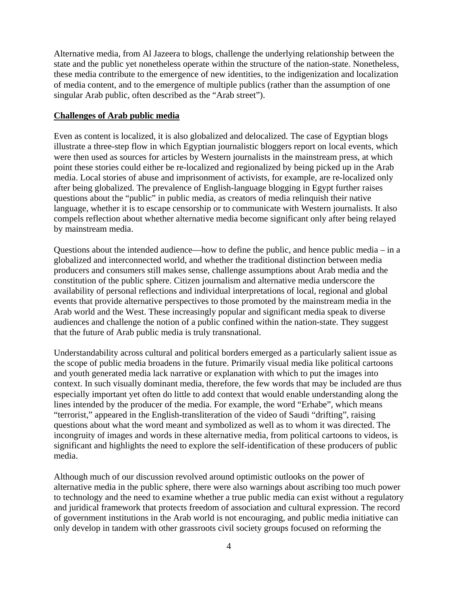Alternative media, from Al Jazeera to blogs, challenge the underlying relationship between the state and the public yet nonetheless operate within the structure of the nation-state. Nonetheless, these media contribute to the emergence of new identities, to the indigenization and localization of media content, and to the emergence of multiple publics (rather than the assumption of one singular Arab public, often described as the "Arab street").

#### **Challenges of Arab public media**

Even as content is localized, it is also globalized and delocalized. The case of Egyptian blogs illustrate a three-step flow in which Egyptian journalistic bloggers report on local events, which were then used as sources for articles by Western journalists in the mainstream press, at which point these stories could either be re-localized and regionalized by being picked up in the Arab media. Local stories of abuse and imprisonment of activists, for example, are re-localized only after being globalized. The prevalence of English-language blogging in Egypt further raises questions about the "public" in public media, as creators of media relinquish their native language, whether it is to escape censorship or to communicate with Western journalists. It also compels reflection about whether alternative media become significant only after being relayed by mainstream media.

Questions about the intended audience—how to define the public, and hence public media – in a globalized and interconnected world, and whether the traditional distinction between media producers and consumers still makes sense, challenge assumptions about Arab media and the constitution of the public sphere. Citizen journalism and alternative media underscore the availability of personal reflections and individual interpretations of local, regional and global events that provide alternative perspectives to those promoted by the mainstream media in the Arab world and the West. These increasingly popular and significant media speak to diverse audiences and challenge the notion of a public confined within the nation-state. They suggest that the future of Arab public media is truly transnational.

Understandability across cultural and political borders emerged as a particularly salient issue as the scope of public media broadens in the future. Primarily visual media like political cartoons and youth generated media lack narrative or explanation with which to put the images into context. In such visually dominant media, therefore, the few words that may be included are thus especially important yet often do little to add context that would enable understanding along the lines intended by the producer of the media. For example, the word "Erhabe", which means "terrorist," appeared in the English-transliteration of the video of Saudi "drifting", raising questions about what the word meant and symbolized as well as to whom it was directed. The incongruity of images and words in these alternative media, from political cartoons to videos, is significant and highlights the need to explore the self-identification of these producers of public media.

Although much of our discussion revolved around optimistic outlooks on the power of alternative media in the public sphere, there were also warnings about ascribing too much power to technology and the need to examine whether a true public media can exist without a regulatory and juridical framework that protects freedom of association and cultural expression. The record of government institutions in the Arab world is not encouraging, and public media initiative can only develop in tandem with other grassroots civil society groups focused on reforming the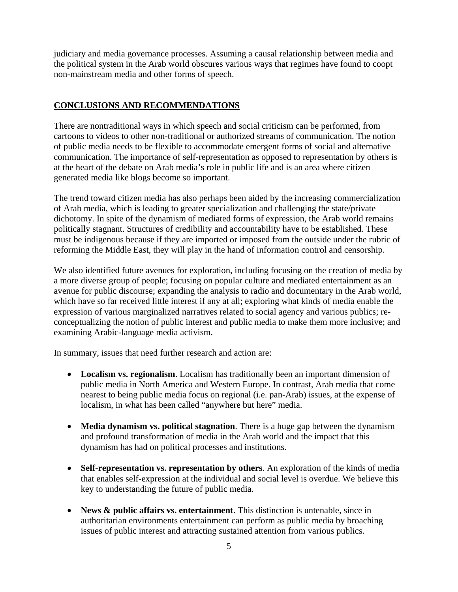judiciary and media governance processes. Assuming a causal relationship between media and the political system in the Arab world obscures various ways that regimes have found to coopt non-mainstream media and other forms of speech.

# **CONCLUSIONS AND RECOMMENDATIONS**

There are nontraditional ways in which speech and social criticism can be performed, from cartoons to videos to other non-traditional or authorized streams of communication. The notion of public media needs to be flexible to accommodate emergent forms of social and alternative communication. The importance of self-representation as opposed to representation by others is at the heart of the debate on Arab media's role in public life and is an area where citizen generated media like blogs become so important.

The trend toward citizen media has also perhaps been aided by the increasing commercialization of Arab media, which is leading to greater specialization and challenging the state/private dichotomy. In spite of the dynamism of mediated forms of expression, the Arab world remains politically stagnant. Structures of credibility and accountability have to be established. These must be indigenous because if they are imported or imposed from the outside under the rubric of reforming the Middle East, they will play in the hand of information control and censorship.

We also identified future avenues for exploration, including focusing on the creation of media by a more diverse group of people; focusing on popular culture and mediated entertainment as an avenue for public discourse; expanding the analysis to radio and documentary in the Arab world, which have so far received little interest if any at all; exploring what kinds of media enable the expression of various marginalized narratives related to social agency and various publics; reconceptualizing the notion of public interest and public media to make them more inclusive; and examining Arabic-language media activism.

In summary, issues that need further research and action are:

- **Localism vs. regionalism**. Localism has traditionally been an important dimension of public media in North America and Western Europe. In contrast, Arab media that come nearest to being public media focus on regional (i.e. pan-Arab) issues, at the expense of localism, in what has been called "anywhere but here" media.
- **Media dynamism vs. political stagnation**. There is a huge gap between the dynamism and profound transformation of media in the Arab world and the impact that this dynamism has had on political processes and institutions.
- **Self-representation vs. representation by others**. An exploration of the kinds of media that enables self-expression at the individual and social level is overdue. We believe this key to understanding the future of public media.
- **News & public affairs vs. entertainment**. This distinction is untenable, since in authoritarian environments entertainment can perform as public media by broaching issues of public interest and attracting sustained attention from various publics.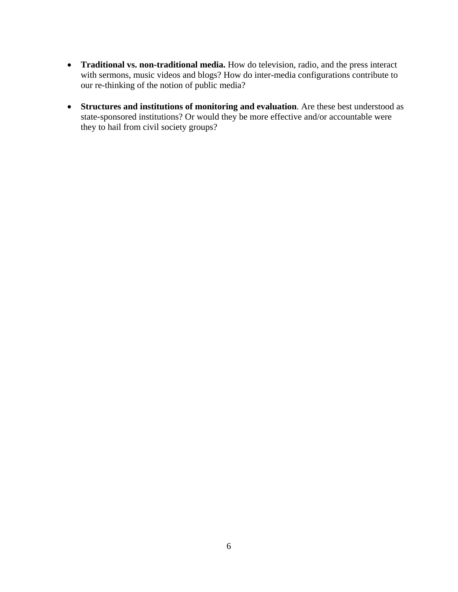- **Traditional vs. non-traditional media.** How do television, radio, and the press interact with sermons, music videos and blogs? How do inter-media configurations contribute to our re-thinking of the notion of public media?
- **Structures and institutions of monitoring and evaluation**. Are these best understood as state-sponsored institutions? Or would they be more effective and/or accountable were they to hail from civil society groups?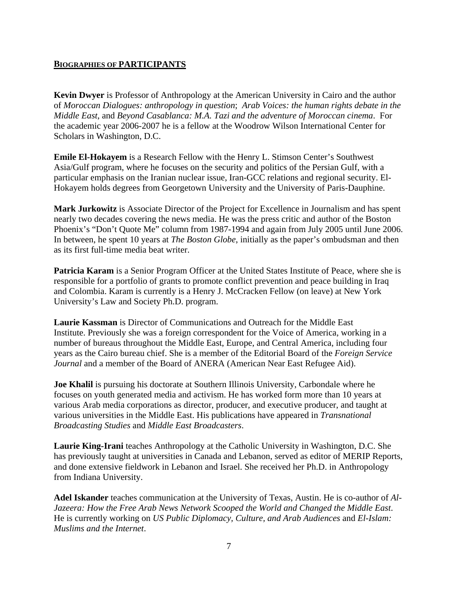# **BIOGRAPHIES OF PARTICIPANTS**

**Kevin Dwyer** is Professor of Anthropology at the American University in Cairo and the author of *Moroccan Dialogues: anthropology in question*; *Arab Voices: the human rights debate in the Middle East*, and *Beyond Casablanca: M.A. Tazi and the adventure of Moroccan cinema*. For the academic year 2006-2007 he is a fellow at the Woodrow Wilson International Center for Scholars in Washington, D.C.

**Emile El-Hokayem** is a Research Fellow with the Henry L. Stimson Center's Southwest Asia/Gulf program, where he focuses on the security and politics of the Persian Gulf, with a particular emphasis on the Iranian nuclear issue, Iran-GCC relations and regional security. El-Hokayem holds degrees from Georgetown University and the University of Paris-Dauphine.

**Mark Jurkowitz** is Associate Director of the Project for Excellence in Journalism and has spent nearly two decades covering the news media. He was the press critic and author of the Boston Phoenix's "Don't Quote Me" column from 1987-1994 and again from July 2005 until June 2006. In between, he spent 10 years at *The Boston Globe*, initially as the paper's ombudsman and then as its first full-time media beat writer.

**Patricia Karam** is a Senior Program Officer at the United States Institute of Peace, where she is responsible for a portfolio of grants to promote conflict prevention and peace building in Iraq and Colombia. Karam is currently is a Henry J. McCracken Fellow (on leave) at New York University's Law and Society Ph.D. program.

**Laurie Kassman** is Director of Communications and Outreach for the Middle East Institute. Previously she was a foreign correspondent for the Voice of America, working in a number of bureaus throughout the Middle East, Europe, and Central America, including four years as the Cairo bureau chief. She is a member of the Editorial Board of the *Foreign Service Journal* and a member of the Board of ANERA (American Near East Refugee Aid).

**Joe Khalil** is pursuing his doctorate at Southern Illinois University, Carbondale where he focuses on youth generated media and activism. He has worked form more than 10 years at various Arab media corporations as director, producer, and executive producer, and taught at various universities in the Middle East. His publications have appeared in *Transnational Broadcasting Studies* and *Middle East Broadcasters*.

**Laurie King-Irani** teaches Anthropology at the Catholic University in Washington, D.C. She has previously taught at universities in Canada and Lebanon, served as editor of MERIP Reports, and done extensive fieldwork in Lebanon and Israel. She received her Ph.D. in Anthropology from Indiana University.

**Adel Iskander** teaches communication at the University of Texas, Austin. He is co-author of *Al-Jazeera: How the Free Arab News Network Scooped the World and Changed the Middle East*. He is currently working on *US Public Diplomacy, Culture, and Arab Audiences* and *El-Islam: Muslims and the Internet*.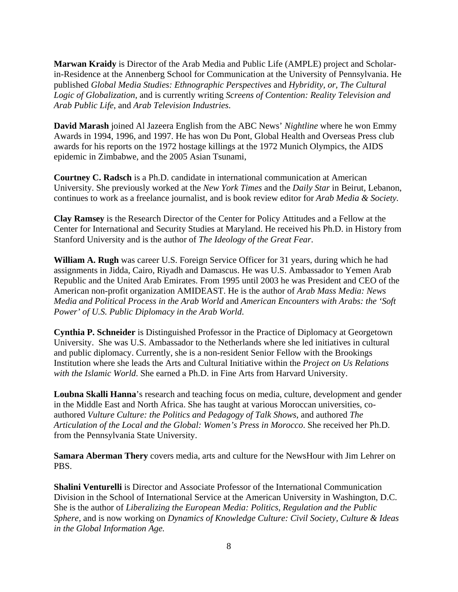**Marwan Kraidy** is Director of the Arab Media and Public Life (AMPLE) project and Scholarin-Residence at the Annenberg School for Communication at the University of Pennsylvania. He published *Global Media Studies: Ethnographic Perspectives* and *Hybridity, or, The Cultural Logic of Globalization*, and is currently writing *Screens of Contention: Reality Television and Arab Public Life*, and *Arab Television Industries*.

**David Marash** joined Al Jazeera English from the ABC News' *Nightline* where he won Emmy Awards in 1994, 1996, and 1997. He has won Du Pont, Global Health and Overseas Press club awards for his reports on the 1972 hostage killings at the 1972 Munich Olympics, the AIDS epidemic in Zimbabwe, and the 2005 Asian Tsunami,

**Courtney C. Radsch** is a Ph.D. candidate in international communication at American University. She previously worked at the *New York Times* and the *Daily Star* in Beirut, Lebanon, continues to work as a freelance journalist, and is book review editor for *Arab Media & Society.*

**Clay Ramsey** is the Research Director of the Center for Policy Attitudes and a Fellow at the Center for International and Security Studies at Maryland. He received his Ph.D. in History from Stanford University and is the author of *The Ideology of the Great Fear*.

**William A. Rugh** was career U.S. Foreign Service Officer for 31 years, during which he had assignments in Jidda, Cairo, Riyadh and Damascus. He was U.S. Ambassador to Yemen Arab Republic and the United Arab Emirates. From 1995 until 2003 he was President and CEO of the American non-profit organization AMIDEAST. He is the author of *Arab Mass Media: News Media and Political Process in the Arab World* and *American Encounters with Arabs: the 'Soft Power' of U.S. Public Diplomacy in the Arab World*.

**Cynthia P. Schneider** is Distinguished Professor in the Practice of Diplomacy at Georgetown University. She was U.S. Ambassador to the Netherlands where she led initiatives in cultural and public diplomacy. Currently, she is a non-resident Senior Fellow with the Brookings Institution where she leads the Arts and Cultural Initiative within the *Project on Us Relations with the Islamic World*. She earned a Ph.D. in Fine Arts from Harvard University.

**Loubna Skalli Hanna**'s research and teaching focus on media, culture, development and gender in the Middle East and North Africa. She has taught at various Moroccan universities, coauthored *Vulture Culture: the Politics and Pedagogy of Talk Shows*, and authored *The Articulation of the Local and the Global: Women's Press in Morocco*. She received her Ph.D. from the Pennsylvania State University.

**Samara Aberman Thery** covers media, arts and culture for the NewsHour with Jim Lehrer on PBS.

**Shalini Venturelli** is Director and Associate Professor of the International Communication Division in the School of International Service at the American University in Washington, D.C. She is the author of *Liberalizing the European Media: Politics, Regulation and the Public Sphere,* and is now working on *Dynamics of Knowledge Culture: Civil Society, Culture & Ideas in the Global Information Age.*